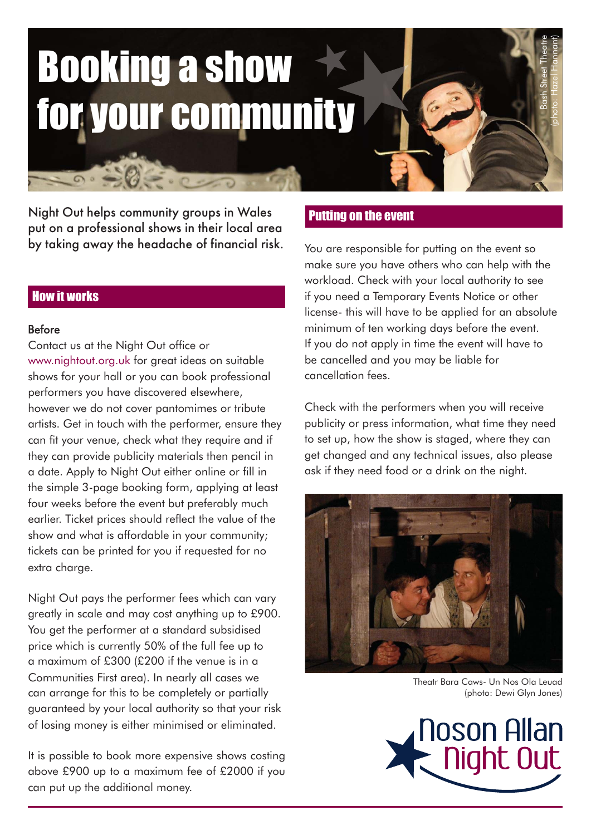# Booking a show your communit

Night Out helps community groups in Wales put on a professional shows in their local area by taking away the headache of financial risk.

## How it works

#### Before

Contact us at the Night Out office or www.nightout.org.uk for great ideas on suitable shows for your hall or you can book professional performers you have discovered elsewhere, however we do not cover pantomimes or tribute artists. Get in touch with the performer, ensure they can fit your venue, check what they require and if they can provide publicity materials then pencil in a date. Apply to Night Out either online or fill in the simple 3-page booking form, applying at least four weeks before the event but preferably much earlier. Ticket prices should reflect the value of the show and what is affordable in your community; tickets can be printed for you if requested for no extra charge.

Night Out pays the performer fees which can vary greatly in scale and may cost anything up to £900. You get the performer at a standard subsidised price which is currently 50% of the full fee up to a maximum of £300 (£200 if the venue is in a Communities First area). In nearly all cases we can arrange for this to be completely or partially guaranteed by your local authority so that your risk of losing money is either minimised or eliminated.

It is possible to book more expensive shows costing above £900 up to a maximum fee of £2000 if you can put up the additional money.

#### Putting on the event

You are responsible for putting on the event so make sure you have others who can help with the workload. Check with your local authority to see if you need a Temporary Events Notice or other license- this will have to be applied for an absolute minimum of ten working days before the event. If you do not apply in time the event will have to be cancelled and you may be liable for cancellation fees.

Check with the performers when you will receive publicity or press information, what time they need to set up, how the show is staged, where they can get changed and any technical issues, also please ask if they need food or a drink on the night.



Theatr Bara Caws- Un Nos Ola Leuad (photo: Dewi Glyn Jones)